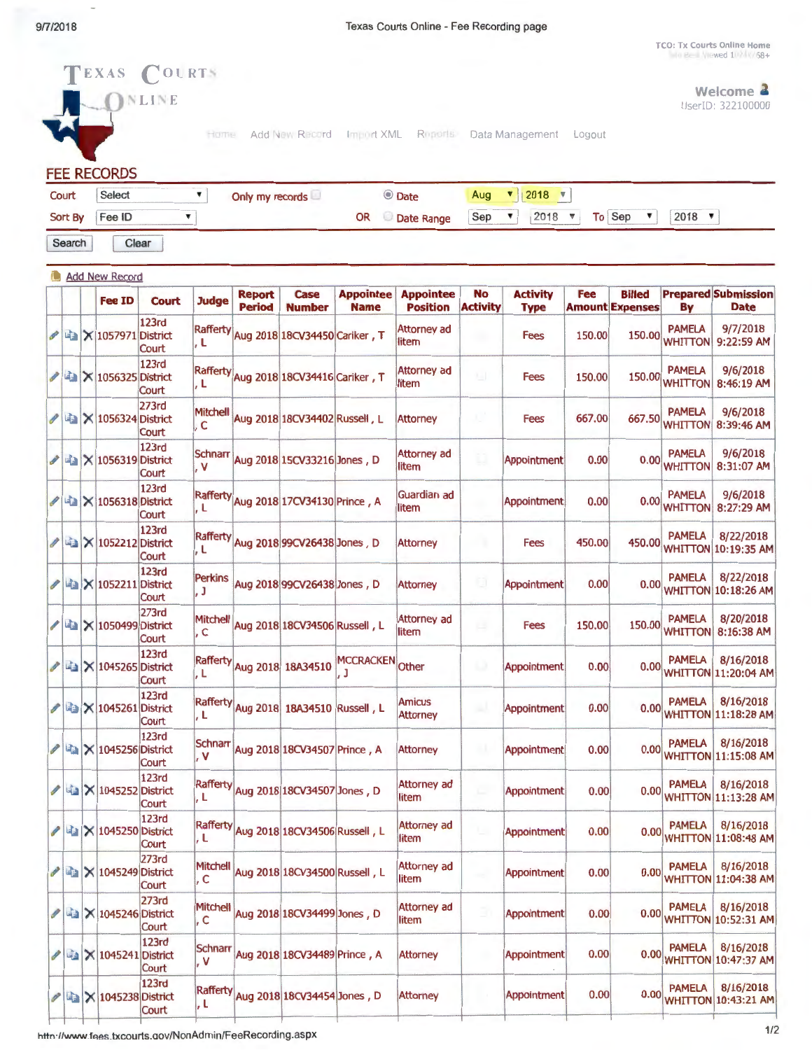**TCO: Tx Courts Online Home**<br>In Bell Viewed 10 1/ 1/88+

|                       |         |  | <b>FEE RECORDS</b>                      |                       |                                    |                                |                                        |                                 |                                     |                       |                                      |        |                                         |                                            |                                           |
|-----------------------|---------|--|-----------------------------------------|-----------------------|------------------------------------|--------------------------------|----------------------------------------|---------------------------------|-------------------------------------|-----------------------|--------------------------------------|--------|-----------------------------------------|--------------------------------------------|-------------------------------------------|
|                       | Court   |  | Select                                  |                       | ▼                                  | Only my records                |                                        |                                 | © Date                              | Aug                   | $\triangledown$ 2018 $\triangledown$ |        |                                         |                                            |                                           |
|                       | Sort By |  | Fee ID                                  |                       | ▼                                  |                                |                                        | <b>OR</b>                       | Date Range                          | Sep                   | ▼<br>2018                            | ▼      | To Sep<br>▼                             | $2018$ $\sqrt{ }$                          |                                           |
|                       | Search  |  |                                         | Clear                 |                                    |                                |                                        |                                 |                                     |                       |                                      |        |                                         |                                            |                                           |
| <b>Add New Record</b> |         |  |                                         |                       |                                    |                                |                                        |                                 |                                     |                       |                                      |        |                                         |                                            |                                           |
|                       |         |  | Fee ID                                  | Court                 | <b>Judge</b>                       | <b>Report</b><br><b>Period</b> | <b>Case</b><br><b>Number</b>           | <b>Appointee</b><br><b>Name</b> | <b>Appointee</b><br><b>Position</b> | No<br><b>Activity</b> | <b>Activity</b><br><b>Type</b>       | Fee    | <b>Billed</b><br><b>Amount Expenses</b> | By                                         | <b>Prepared Submission</b><br><b>Date</b> |
|                       |         |  | LA X 1057971 District                   | 123rd<br>Court        | , L                                |                                | Rafferty Aug 2018 18CV34450 Cariker, T |                                 | Attorney ad<br>litem                |                       | <b>Fees</b>                          | 150.00 | 150.00                                  | <b>PAMELA</b><br><b>WHITTON</b>            | 9/7/2018<br>9:22:59 AM                    |
| Ì                     |         |  | <b>A</b> × 1056325 District             | 123rd<br>Court        | , L                                |                                | Rafferty Aug 2018 18CV34416 Cariker, T |                                 | <b>Attorney ad</b><br>litem         | 海                     | <b>Fees</b>                          | 150.00 | 150.00                                  | <b>PAMELA</b><br><b>WHITTON</b>            | 9/6/2018<br>8:46:19 AM                    |
| P                     |         |  | La   × 1056324 District                 | 273rd<br>Court        | Mitchell<br>.c                     |                                | Aug 2018 18CV34402 Russell, L          |                                 | <b>Attorney</b>                     | x,                    | Fees                                 | 667.00 | 667.50                                  | <b>PAMELA</b><br><b>WHITTON</b>            | 9/6/2018<br>8:39:46 AM                    |
|                       |         |  | $\frac{1}{2}$ $\times$ 1056319 District | 123rd<br>Court        | Schnarr<br>$\overline{\mathsf{v}}$ |                                | Aug 2018 15CV33216 Jones, D            |                                 | <b>Attorney ad</b><br>litem         | ū                     | Appointment                          | 0.00   | 0.00                                    | <b>PAMELA</b><br><b>WHITTON</b>            | 9/6/2018<br>8:31:07 AM                    |
|                       |         |  | LA X 1056318 District                   | 123rd<br>Court        | , L                                |                                | Rafferty Aug 2018 17CV34130 Prince, A  |                                 | Guardian ad<br>litem                |                       | Appointment                          | 0.00   |                                         | <b>PAMELA</b><br>$0.00$ <sub>WHITTON</sub> | 9/6/2018<br>8:27:29 AM                    |
|                       |         |  | <b>A</b> X 1052212 District             | <b>123rd</b><br>Court | l, L                               |                                | Rafferty Aug 2018 99CV26438 Jones, D   |                                 | <b>Attorney</b>                     |                       | Fees                                 | 450.00 | 450.00                                  | <b>PAMELA</b>                              | 8/22/2018<br><b>WHITTON 10:19:35 AM</b>   |
| I                     |         |  | $\mathbf{E}$ $\times$ 1052211 District  | 123rd<br>Court        | Perkins<br>. J                     |                                | Aug 2018 99CV26438 Jones, D            |                                 | <b>Attorney</b>                     | ū                     | <b>Appointment</b>                   | 0.00   |                                         | <b>PAMELA</b>                              | 8/22/2018<br>0.00 WHITTON 10:18:26 AM     |
|                       |         |  | <b>■ × 1050499 District</b>             | <b>273rd</b><br>Court | Mitchell<br>. C                    |                                | Aug 2018 18CV34506 Russell, L          |                                 | Attorney ad<br>litem                | ш                     | <b>Fees</b>                          | 150.00 | 150.00                                  | <b>PAMELA</b><br><b>WHITTON</b>            | 8/20/2018<br>8:16:38 AM                   |
| P                     |         |  | <b>■ × 1045265 District</b>             | 123rd<br>Court        | I. L                               |                                | Rafferty Aug 2018 18A34510             | MCCRACKEN Other<br>. J          |                                     | w                     | Appointment                          | 0.00   |                                         | <b>PAMELA</b>                              | 8/16/2018<br>0.00 WHITTON 11:20:04 AM     |
| I                     |         |  | <b>■ × 1045261 District</b>             | <b>123rd</b><br>Court | , L                                |                                | Rafferty Aug 2018 18A34510 Russell, L  |                                 | <b>Amicus</b><br><b>Attorney</b>    | w                     | Appointment                          | 0.00   |                                         | <b>PAMELA</b>                              | 8/16/2018<br>0.00 WHITTON 11:18:28 AM     |
| P                     |         |  | $\frac{1}{2}$ $\times$ 1045256 District | <b>123rd</b><br>Court | Schnarr<br>. V                     |                                | Aug 2018 18CV34507 Prince, A           |                                 | <b>Attorney</b>                     | 91                    | Appointment                          | 0.00   |                                         | <b>PAMELA</b>                              | 8/16/2018<br>0.00 WHITTON 11:15:08 AM     |
| I                     |         |  | <b>La X 1045252 District</b>            | 123rd<br>Court        | l, L                               |                                | Rafferty Aug 2018 18CV34507 Jones, D   |                                 | Attorney ad<br>litem                |                       | Appointment                          | 0.00   |                                         | <b>PAMELA</b>                              | 8/16/2018<br>0.00 WHITTON 11:13:28 AM     |
|                       |         |  | $\ell$ 4 $\times$ 1045250 District      | 123rd<br>Court        | J.L                                |                                | Rafferty Aug 2018 18CV34506 Russell, L |                                 | Attorney ad<br>litem                |                       | Appointment                          | 0.00   |                                         | <b>PAMELA</b><br>0.00 WHITTON 11:08:48 AM  | 8/16/2018                                 |
|                       |         |  | <b>/ △ × 1045249 District</b>           | 273rd<br>Court        | Mitchell<br>, C                    |                                | Aug 2018 18CV34500 Russell, L          |                                 | Attorney ad<br>litem                |                       | <b>Appointment</b>                   | 0.00   | 0.00                                    | <b>PAMELA</b>                              | 8/16/2018<br><b>WHITTON 11:04:38 AM</b>   |
| I                     |         |  | <b>■ × 1045246 District</b>             | 273rd<br>Court        | Mitchell<br>, C                    |                                | Aug 2018 18CV34499 Jones, D            |                                 | Attorney ad<br>litem                |                       | Appointment                          | 0.00   |                                         | <b>PAMELA</b><br>0.00 WHITTON 10:52:31 AM  | 8/16/2018                                 |
| I                     |         |  | X 1045241 District                      | 123rd<br>Court        | <b>Schnarr</b><br>. V              |                                | Aug 2018 18CV34489 Prince, A           |                                 | <b>Attorney</b>                     |                       | <b>Appointment</b>                   | 0.00   |                                         | <b>PAMELA</b><br>0.00 WHITTON 10:47:37 AM  | 8/16/2018                                 |
|                       |         |  | <b>/ △ × 1045238 District</b>           | 123rd<br>Court        | , L                                |                                | Rafferty Aug 2018 18CV34454 Jones, D   |                                 | <b>Attorney</b>                     |                       | Appointment                          | 0.00   |                                         | <b>PAMELA</b><br>0.00 WHITTON 10:43:21 AM  | 8/16/2018                                 |